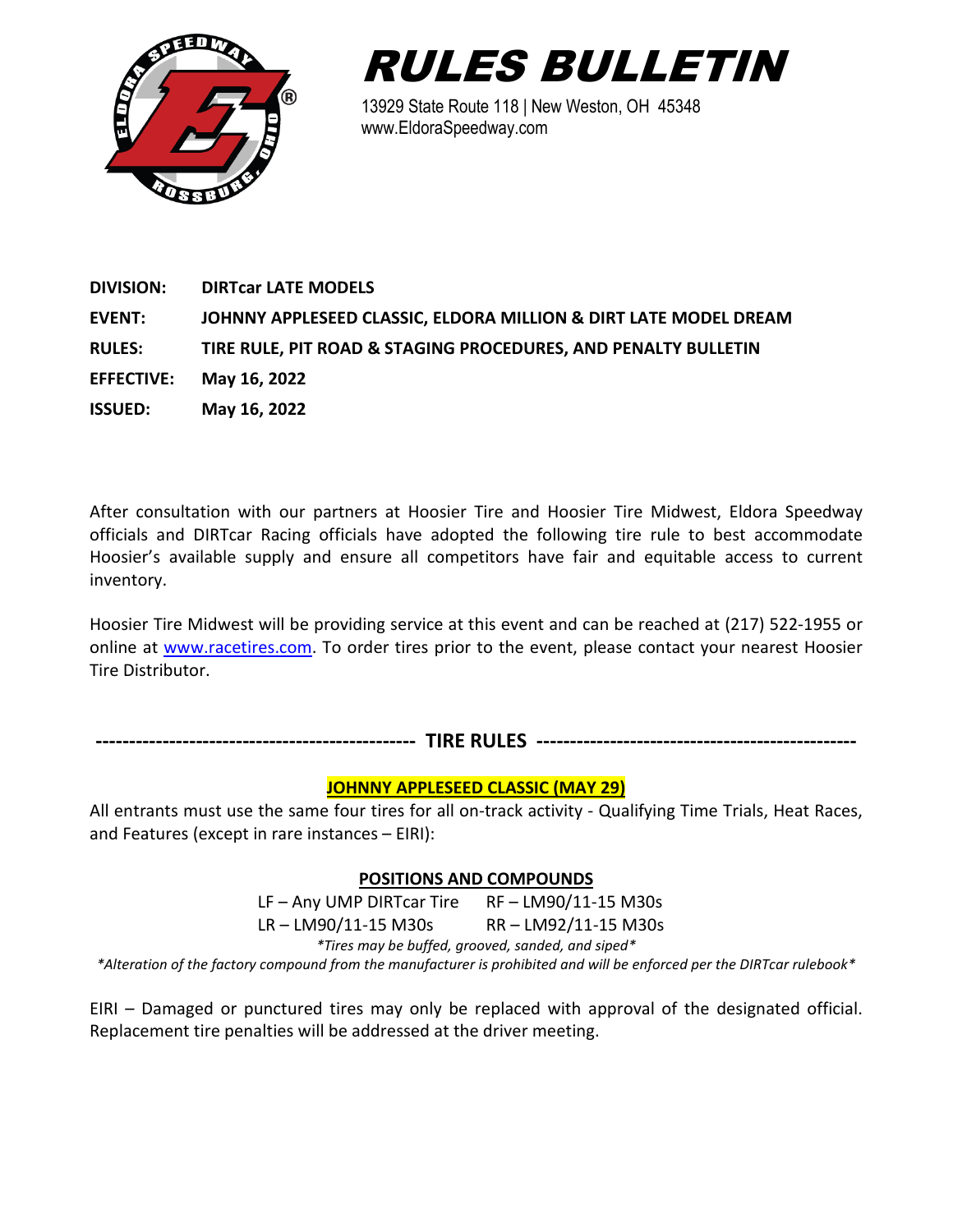



13929 State Route 118 | New Weston, OH 45348 www.EldoraSpeedway.com

| <b>DIVISION:</b>  | <b>DIRTCAT LATE MODELS</b>                                       |
|-------------------|------------------------------------------------------------------|
| <b>EVENT:</b>     | JOHNNY APPLESEED CLASSIC, ELDORA MILLION & DIRT LATE MODEL DREAM |
| <b>RULES:</b>     | TIRE RULE, PIT ROAD & STAGING PROCEDURES, AND PENALTY BULLETIN   |
| <b>EFFECTIVE:</b> | May 16, 2022                                                     |
| <b>ISSUED:</b>    | May 16, 2022                                                     |
|                   |                                                                  |

After consultation with our partners at Hoosier Tire and Hoosier Tire Midwest, Eldora Speedway officials and DIRTcar Racing officials have adopted the following tire rule to best accommodate Hoosier's available supply and ensure all competitors have fair and equitable access to current inventory.

Hoosier Tire Midwest will be providing service at this event and can be reached at (217) 522-1955 or online at [www.racetires.com.](file://Brutus/Working%20Files/Documents/Forms%20&%20PDFs/2022/www.racetires.com) To order tires prior to the event, please contact your nearest Hoosier Tire Distributor.

|  | TIRE RULES<br>. NULEJ |  |
|--|-----------------------|--|
|--|-----------------------|--|

# **JOHNNY APPLESEED CLASSIC (MAY 29)**

All entrants must use the same four tires for all on-track activity - Qualifying Time Trials, Heat Races, and Features (except in rare instances – EIRI):

# **POSITIONS AND COMPOUNDS**

LF – Any UMP DIRTcar Tire RF – LM90/11-15 M30s LR – LM90/11-15 M30s RR – LM92/11-15 M30s *\*Tires may be buffed, grooved, sanded, and siped\* \*Alteration of the factory compound from the manufacturer is prohibited and will be enforced per the DIRTcar rulebook\**

EIRI – Damaged or punctured tires may only be replaced with approval of the designated official. Replacement tire penalties will be addressed at the driver meeting.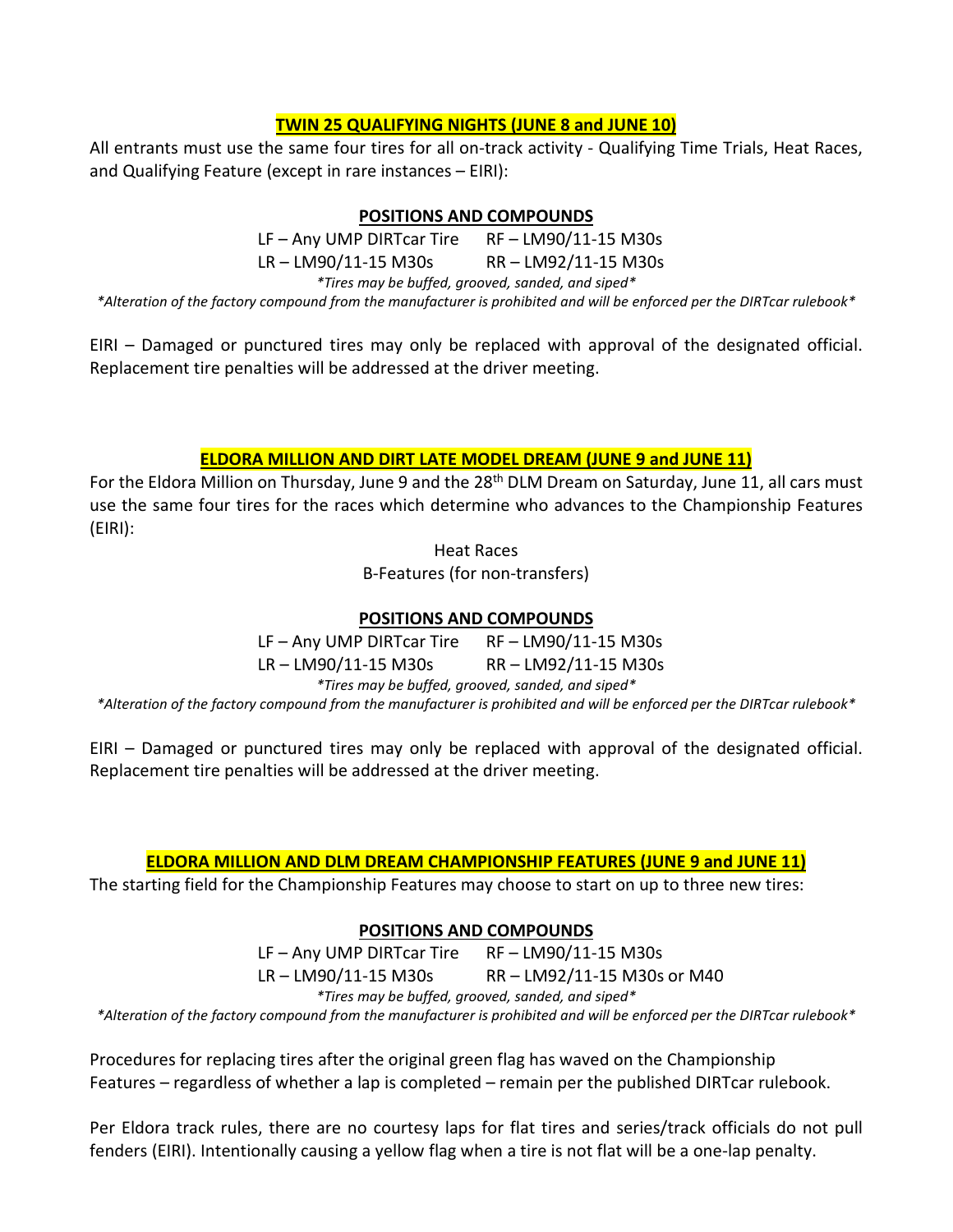# **TWIN 25 QUALIFYING NIGHTS (JUNE 8 and JUNE 10)**

All entrants must use the same four tires for all on-track activity - Qualifying Time Trials, Heat Races, and Qualifying Feature (except in rare instances – EIRI):

#### **POSITIONS AND COMPOUNDS**

LF – Any UMP DIRTcar Tire RF – LM90/11-15 M30s LR – LM90/11-15 M30s RR – LM92/11-15 M30s *\*Tires may be buffed, grooved, sanded, and siped\**

*\*Alteration of the factory compound from the manufacturer is prohibited and will be enforced per the DIRTcar rulebook\**

EIRI – Damaged or punctured tires may only be replaced with approval of the designated official. Replacement tire penalties will be addressed at the driver meeting.

### **ELDORA MILLION AND DIRT LATE MODEL DREAM (JUNE 9 and JUNE 11)**

For the Eldora Million on Thursday, June 9 and the 28<sup>th</sup> DLM Dream on Saturday, June 11, all cars must use the same four tires for the races which determine who advances to the Championship Features (EIRI):

Heat Races

B-Features (for non-transfers)

## **POSITIONS AND COMPOUNDS**

LF – Any UMP DIRTcar Tire RF – LM90/11-15 M30s LR – LM90/11-15 M30s RR – LM92/11-15 M30s *\*Tires may be buffed, grooved, sanded, and siped\**

*\*Alteration of the factory compound from the manufacturer is prohibited and will be enforced per the DIRTcar rulebook\**

EIRI – Damaged or punctured tires may only be replaced with approval of the designated official. Replacement tire penalties will be addressed at the driver meeting.

#### **ELDORA MILLION AND DLM DREAM CHAMPIONSHIP FEATURES (JUNE 9 and JUNE 11)**

The starting field for the Championship Features may choose to start on up to three new tires:

# **POSITIONS AND COMPOUNDS**

LF – Any UMP DIRTcar Tire RF – LM90/11-15 M30s LR – LM90/11-15 M30s RR – LM92/11-15 M30s or M40 *\*Tires may be buffed, grooved, sanded, and siped\**

*\*Alteration of the factory compound from the manufacturer is prohibited and will be enforced per the DIRTcar rulebook\**

Procedures for replacing tires after the original green flag has waved on the Championship Features – regardless of whether a lap is completed – remain per the published DIRTcar rulebook.

Per Eldora track rules, there are no courtesy laps for flat tires and series/track officials do not pull fenders (EIRI). Intentionally causing a yellow flag when a tire is not flat will be a one-lap penalty.